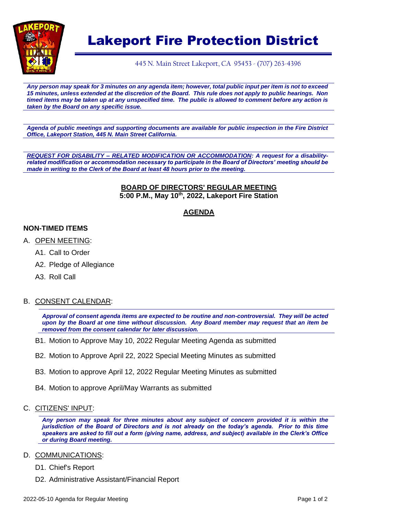

# Lakeport Fire Protection District

445 N. Main Street Lakeport, CA 95453 - (707) 263-4396

*Any person may speak for 3 minutes on any agenda item; however, total public input per item is not to exceed 15 minutes, unless extended at the discretion of the Board. This rule does not apply to public hearings. Non timed items may be taken up at any unspecified time. The public is allowed to comment before any action is taken by the Board on any specific issue.* 

*Agenda of public meetings and supporting documents are available for public inspection in the Fire District Office, Lakeport Station, 445 N. Main Street California.*

*REQUEST FOR DISABILITY – RELATED MODIFICATION OR ACCOMMODATION: A request for a disabilityrelated modification or accommodation necessary to participate in the Board of Directors' meeting should be made in writing to the Clerk of the Board at least 48 hours prior to the meeting.*

#### **BOARD OF DIRECTORS' REGULAR MEETING 5:00 P.M., May 10th, 2022, Lakeport Fire Station**

# **AGENDA**

### **NON-TIMED ITEMS**

- A. OPEN MEETING:
	- A1. Call to Order
	- A2. Pledge of Allegiance
	- A3. Roll Call

### B. CONSENT CALENDAR:

*Approval of consent agenda items are expected to be routine and non-controversial. They will be acted upon by the Board at one time without discussion. Any Board member may request that an item be removed from the consent calendar for later discussion.*

- B1. Motion to Approve May 10, 2022 Regular Meeting Agenda as submitted
- B2. Motion to Approve April 22, 2022 Special Meeting Minutes as submitted
- B3. Motion to approve April 12, 2022 Regular Meeting Minutes as submitted
- B4. Motion to approve April/May Warrants as submitted
- C. CITIZENS' INPUT:

*Any person may speak for three minutes about any subject of concern provided it is within the jurisdiction of the Board of Directors and is not already on the today's agenda. Prior to this time speakers are asked to fill out a form (giving name, address, and subject) available in the Clerk's Office or during Board meeting.*

#### D. COMMUNICATIONS:

D1. Chief's Report

D2. Administrative Assistant/Financial Report